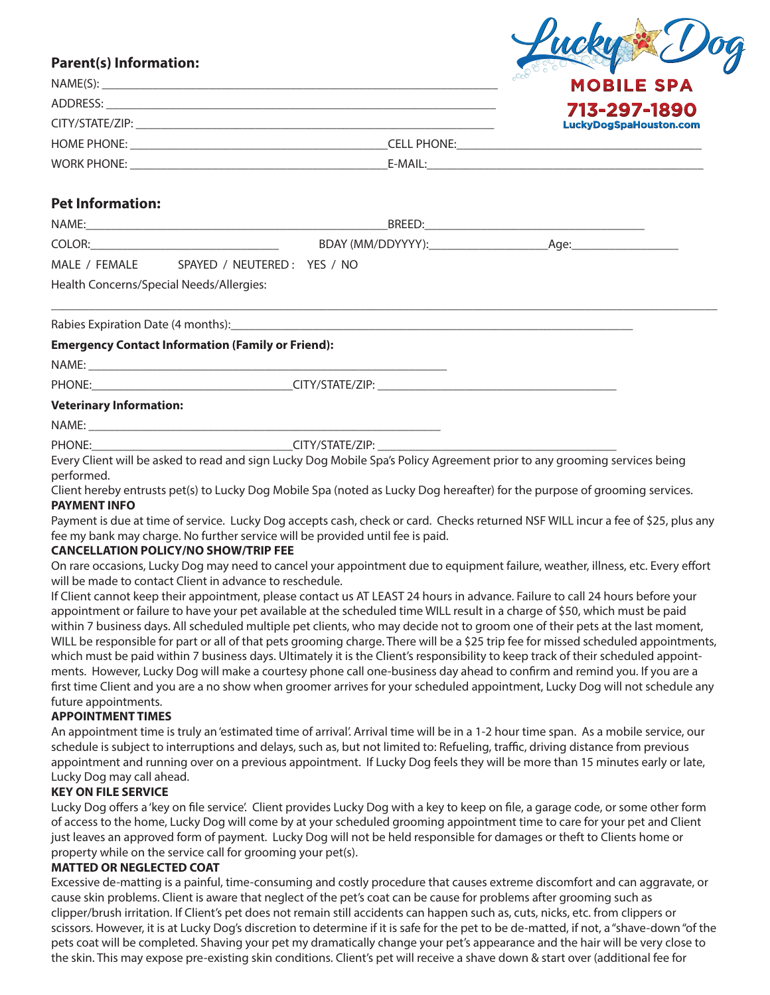# **Parent(s) Information:**

| NAME(S):           |                    | .occ<br><b>MOBILE SPA</b> |  |
|--------------------|--------------------|---------------------------|--|
| ADDRESS:           | 713-297-1890       |                           |  |
| CITY/STATE/ZIP:    |                    | LuckyDogSpaHouston.com    |  |
| <b>HOME PHONE:</b> | <b>CELL PHONE:</b> |                           |  |
| <b>WORK PHONE:</b> | E-MAIL:            |                           |  |

Lucky & Dog

# **Pet Information:**

| NAME:         |                             | BREED:            |      |
|---------------|-----------------------------|-------------------|------|
| COLOR:        |                             | BDAY (MM/DDYYYY): | Age: |
| MALE / FEMALE | SPAYED / NEUTERED: YES / NO |                   |      |
|               |                             |                   |      |

\_\_\_\_\_\_\_\_\_\_\_\_\_\_\_\_\_\_\_\_\_\_\_\_\_\_\_\_\_\_\_\_\_\_\_\_\_\_\_\_\_\_\_\_\_\_\_\_\_\_\_\_\_\_\_\_\_\_\_\_\_\_\_\_\_\_\_\_\_\_\_\_\_\_\_\_\_\_\_\_\_\_\_\_\_\_\_\_\_\_\_\_\_\_\_\_\_\_\_\_\_\_\_\_\_\_

Health Concerns/Special Needs/Allergies:

Rabies Expiration Date (4 months):

# **Emergency Contact Information (Family or Friend):**

 $NAME:$ 

PHONE: THE PHONE: THE SET OF STATE/STATE/ZIP:

# **Veterinary Information:**

 $NAME:$ 

PHONE: THE PHONE:

Every Client will be asked to read and sign Lucky Dog Mobile Spa's Policy Agreement prior to any grooming services being performed.

Client hereby entrusts pet(s) to Lucky Dog Mobile Spa (noted as Lucky Dog hereafter) for the purpose of grooming services. **PAYMENT INFO**

Payment is due at time of service. Lucky Dog accepts cash, check or card. Checks returned NSF WILL incur a fee of \$25, plus any fee my bank may charge. No further service will be provided until fee is paid.

# **CANCELLATION POLICY/NO SHOW/TRIP FEE**

On rare occasions, Lucky Dog may need to cancel your appointment due to equipment failure, weather, illness, etc. Every effort will be made to contact Client in advance to reschedule.

If Client cannot keep their appointment, please contact us AT LEAST 24 hours in advance. Failure to call 24 hours before your appointment or failure to have your pet available at the scheduled time WILL result in a charge of \$50, which must be paid within 7 business days. All scheduled multiple pet clients, who may decide not to groom one of their pets at the last moment, WILL be responsible for part or all of that pets grooming charge. There will be a \$25 trip fee for missed scheduled appointments, which must be paid within 7 business days. Ultimately it is the Client's responsibility to keep track of their scheduled appointments. However, Lucky Dog will make a courtesy phone call one-business day ahead to confirm and remind you. If you are a first time Client and you are a no show when groomer arrives for your scheduled appointment, Lucky Dog will not schedule any future appointments.

# **APPOINTMENT TIMES**

An appointment time is truly an 'estimated time of arrival'. Arrival time will be in a 1-2 hour time span. As a mobile service, our schedule is subject to interruptions and delays, such as, but not limited to: Refueling, traffic, driving distance from previous appointment and running over on a previous appointment. If Lucky Dog feels they will be more than 15 minutes early or late, Lucky Dog may call ahead.

# **KEY ON FILE SERVICE**

Lucky Dog offers a 'key on file service'. Client provides Lucky Dog with a key to keep on file, a garage code, or some other form of access to the home, Lucky Dog will come by at your scheduled grooming appointment time to care for your pet and Client just leaves an approved form of payment. Lucky Dog will not be held responsible for damages or theft to Clients home or property while on the service call for grooming your pet(s).

# **MATTED OR NEGLECTED COAT**

Excessive de-matting is a painful, time-consuming and costly procedure that causes extreme discomfort and can aggravate, or cause skin problems. Client is aware that neglect of the pet's coat can be cause for problems after grooming such as clipper/brush irritation. If Client's pet does not remain still accidents can happen such as, cuts, nicks, etc. from clippers or scissors. However, it is at Lucky Dog's discretion to determine if it is safe for the pet to be de-matted, if not, a "shave-down "of the pets coat will be completed. Shaving your pet my dramatically change your pet's appearance and the hair will be very close to the skin. This may expose pre-existing skin conditions. Client's pet will receive a shave down & start over (additional fee for